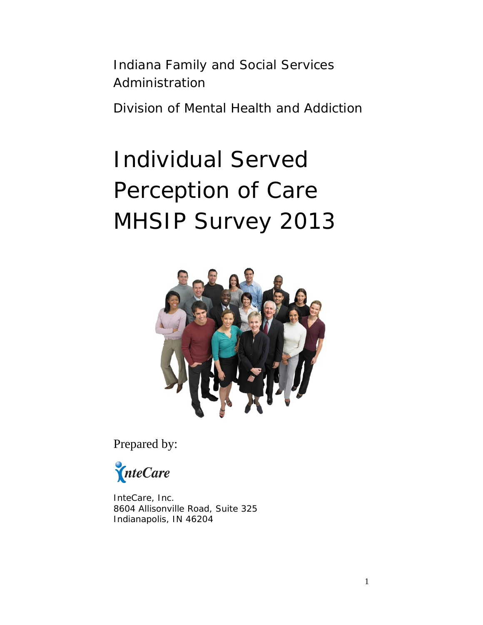Indiana Family and Social Services Administration

Division of Mental Health and Addiction

# Individual Served Perception of Care MHSIP Survey 2013



Prepared by:

InteCare

InteCare, Inc. 8604 Allisonville Road, Suite 325 Indianapolis, IN 46204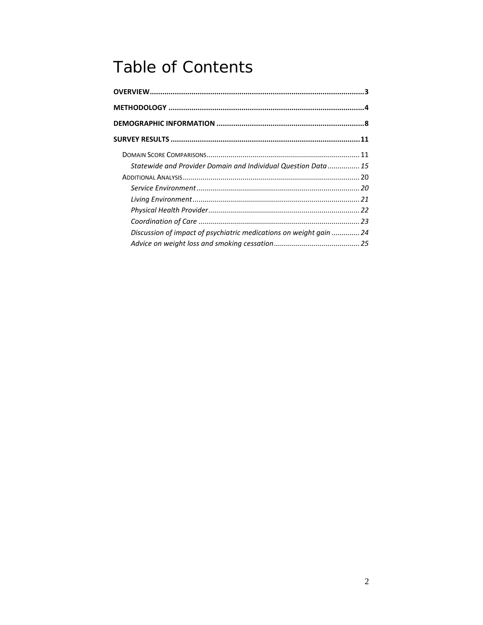### Table of Contents

| Statewide and Provider Domain and Individual Question Data  15     |  |
|--------------------------------------------------------------------|--|
|                                                                    |  |
|                                                                    |  |
|                                                                    |  |
|                                                                    |  |
|                                                                    |  |
| Discussion of impact of psychiatric medications on weight gain  24 |  |
|                                                                    |  |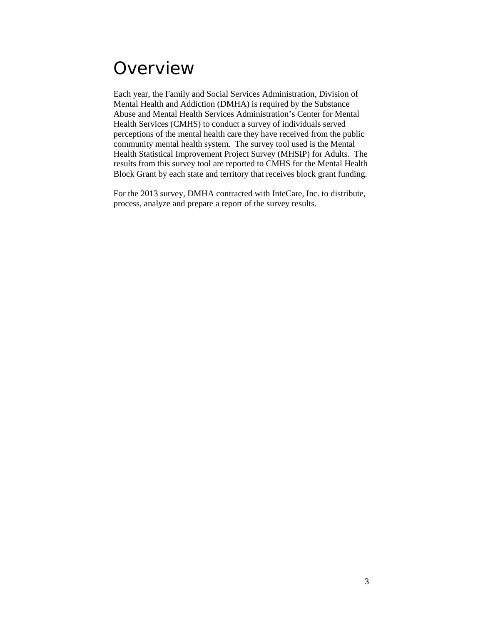### <span id="page-2-0"></span>**Overview**

Each year, the Family and Social Services Administration, Division of Mental Health and Addiction (DMHA) is required by the Substance Abuse and Mental Health Services Administration's Center for Mental Health Services (CMHS) to conduct a survey of individuals served perceptions of the mental health care they have received from the public community mental health system. The survey tool used is the Mental Health Statistical Improvement Project Survey (MHSIP) for Adults. The results from this survey tool are reported to CMHS for the Mental Health Block Grant by each state and territory that receives block grant funding.

For the 2013 survey, DMHA contracted with InteCare, Inc. to distribute, process, analyze and prepare a report of the survey results.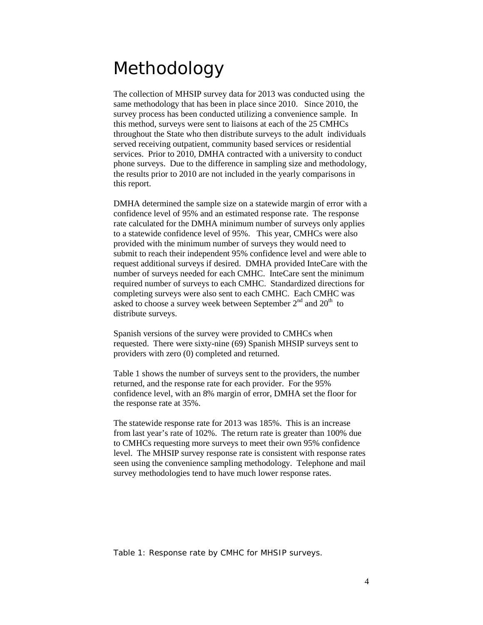### <span id="page-3-0"></span>Methodology

The collection of MHSIP survey data for 2013 was conducted using the same methodology that has been in place since 2010. Since 2010, the survey process has been conducted utilizing a convenience sample. In this method, surveys were sent to liaisons at each of the 25 CMHCs throughout the State who then distribute surveys to the adult individuals served receiving outpatient, community based services or residential services. Prior to 2010, DMHA contracted with a university to conduct phone surveys. Due to the difference in sampling size and methodology, the results prior to 2010 are not included in the yearly comparisons in this report.

DMHA determined the sample size on a statewide margin of error with a confidence level of 95% and an estimated response rate. The response rate calculated for the DMHA minimum number of surveys only applies to a statewide confidence level of 95%. This year, CMHCs were also provided with the minimum number of surveys they would need to submit to reach their independent 95% confidence level and were able to request additional surveys if desired. DMHA provided InteCare with the number of surveys needed for each CMHC. InteCare sent the minimum required number of surveys to each CMHC. Standardized directions for completing surveys were also sent to each CMHC. Each CMHC was asked to choose a survey week between September  $2<sup>nd</sup>$  and  $20<sup>th</sup>$  to distribute surveys.

Spanish versions of the survey were provided to CMHCs when requested. There were sixty-nine (69) Spanish MHSIP surveys sent to providers with zero (0) completed and returned.

Table 1 shows the number of surveys sent to the providers, the number returned, and the response rate for each provider. For the 95% confidence level, with an 8% margin of error, DMHA set the floor for the response rate at 35%.

The statewide response rate for 2013 was 185%. This is an increase from last year's rate of 102%. The return rate is greater than 100% due to CMHCs requesting more surveys to meet their own 95% confidence level. The MHSIP survey response rate is consistent with response rates seen using the convenience sampling methodology. Telephone and mail survey methodologies tend to have much lower response rates.

Table 1: Response rate by CMHC for MHSIP surveys.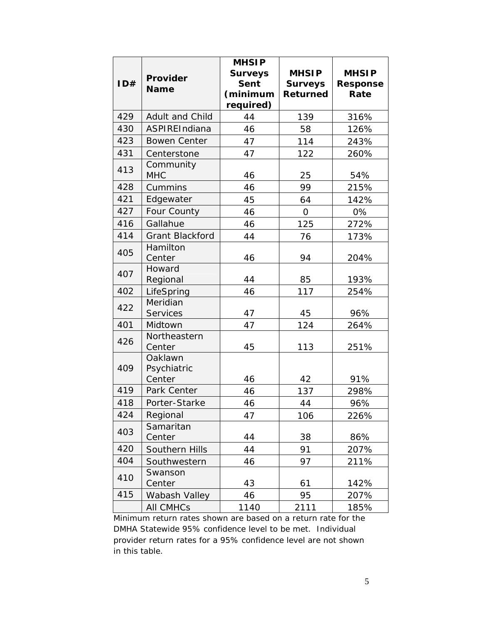|     |                         | <b>MHSIP</b>   |                |                 |
|-----|-------------------------|----------------|----------------|-----------------|
|     |                         | <b>Surveys</b> | <b>MHSIP</b>   | <b>MHSIP</b>    |
| ID# | Provider<br><b>Name</b> | <b>Sent</b>    | <b>Surveys</b> | <b>Response</b> |
|     |                         | (minimum       | Returned       | Rate            |
|     |                         | required)      |                |                 |
| 429 | Adult and Child         | 44             | 139            | 316%            |
| 430 | ASPIREIndiana           | 46             | 58             | 126%            |
| 423 | <b>Bowen Center</b>     | 47             | 114            | 243%            |
| 431 | Centerstone             | 47             | 122            | 260%            |
| 413 | Community<br><b>MHC</b> | 46             | 25             | 54%             |
| 428 | Cummins                 | 46             | 99             | 215%            |
| 421 | Edgewater               | 45             | 64             | 142%            |
| 427 | Four County             | 46             | $\mathbf 0$    | 0%              |
| 416 | Gallahue                | 46             | 125            | 272%            |
| 414 | <b>Grant Blackford</b>  | 44             | 76             | 173%            |
| 405 | Hamilton<br>Center      | 46             | 94             | 204%            |
| 407 | Howard                  |                |                |                 |
|     | Regional                | 44             | 85             | 193%            |
| 402 | LifeSpring              | 46             | 117            | 254%            |
| 422 | Meridian                |                |                |                 |
|     | Services                | 47             | 45             | 96%             |
| 401 | Midtown                 | 47             | 124            | 264%            |
| 426 | Northeastern<br>Center  | 45             | 113            | 251%            |
| 409 | Oaklawn<br>Psychiatric  |                |                |                 |
|     | Center                  | 46             | 42             | 91%             |
| 419 | Park Center             | 46             | 137            | 298%            |
| 418 | Porter-Starke           | 46             | 44             | 96%             |
| 424 | Regional                | 47             | 106            | 226%            |
| 403 | Samaritan<br>Center     | 44             | 38             | 86%             |
| 420 | Southern Hills          | 44             | 91             | 207%            |
| 404 | Southwestern            | 46             | 97             | 211%            |
|     | Swanson                 |                |                |                 |
| 410 | Center                  | 43             | 61             | 142%            |
| 415 | Wabash Valley           | 46             | 95             | 207%            |
|     | <b>AII CMHCs</b>        | 1140           | 2111           | 185%            |

Minimum return rates shown are based on a return rate for the DMHA Statewide 95% confidence level to be met. Individual provider return rates for a 95% confidence level are not shown in this table.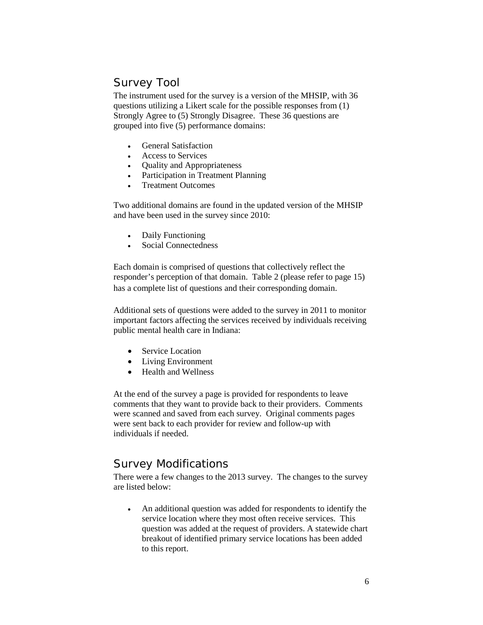#### Survey Tool

The instrument used for the survey is a version of the MHSIP, with 36 questions utilizing a Likert scale for the possible responses from (1) Strongly Agree to (5) Strongly Disagree. These 36 questions are grouped into five (5) performance domains:

- General Satisfaction
- Access to Services
- Quality and Appropriateness
- Participation in Treatment Planning
- Treatment Outcomes

Two additional domains are found in the updated version of the MHSIP and have been used in the survey since 2010:

- Daily Functioning
- Social Connectedness

Each domain is comprised of questions that collectively reflect the responder's perception of that domain. Table 2 (please refer to page 15) has a complete list of questions and their corresponding domain.

Additional sets of questions were added to the survey in 2011 to monitor important factors affecting the services received by individuals receiving public mental health care in Indiana:

- Service Location
- Living Environment
- Health and Wellness

At the end of the survey a page is provided for respondents to leave comments that they want to provide back to their providers. Comments were scanned and saved from each survey. Original comments pages were sent back to each provider for review and follow-up with individuals if needed.

#### Survey Modifications

There were a few changes to the 2013 survey. The changes to the survey are listed below:

• An additional question was added for respondents to identify the service location where they most often receive services. This question was added at the request of providers. A statewide chart breakout of identified primary service locations has been added to this report.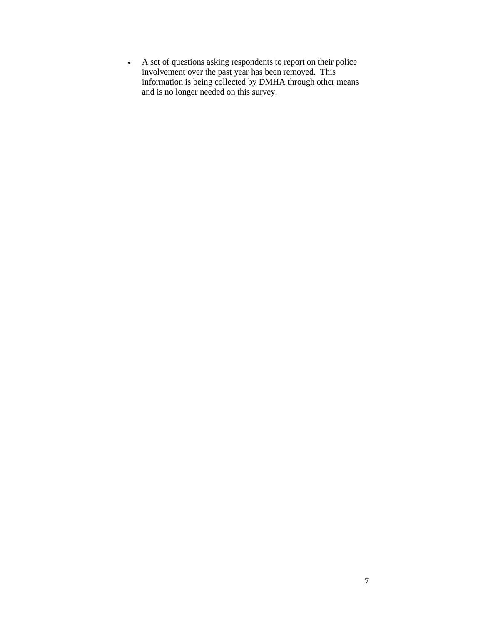• A set of questions asking respondents to report on their police involvement over the past year has been removed. This information is being collected by DMHA through other means and is no longer needed on this survey.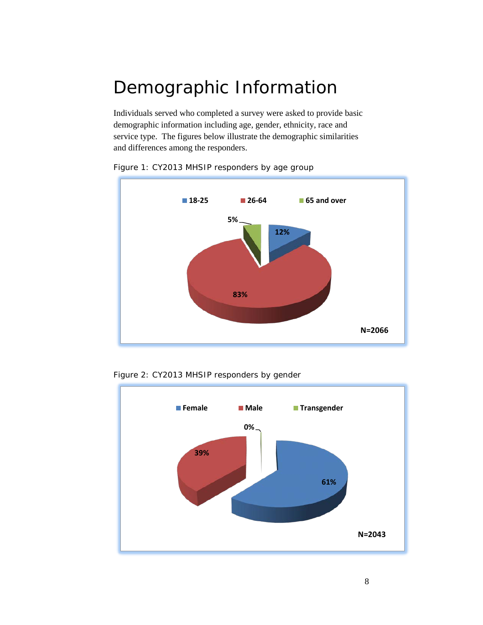# <span id="page-7-0"></span>Demographic Information

Individuals served who completed a survey were asked to provide basic demographic information including age, gender, ethnicity, race and service type. The figures below illustrate the demographic similarities and differences among the responders.



Figure 1: CY2013 MHSIP responders by age group



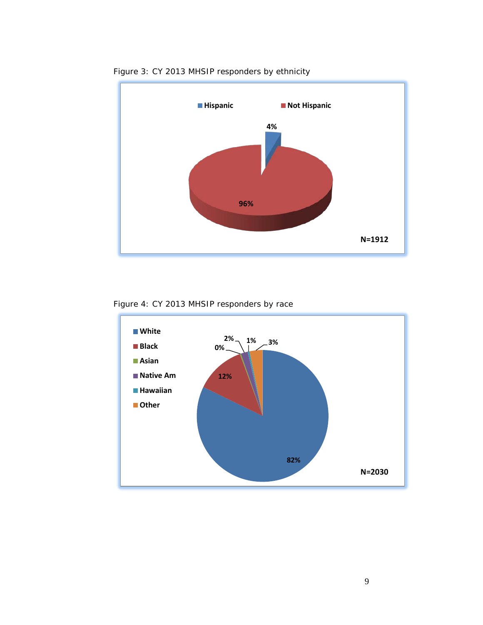

Figure 3: CY 2013 MHSIP responders by ethnicity

Figure 4: CY 2013 MHSIP responders by race

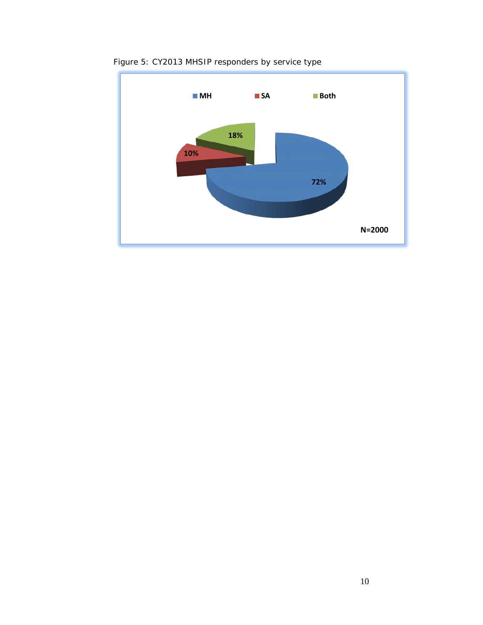

Figure 5: CY2013 MHSIP responders by service type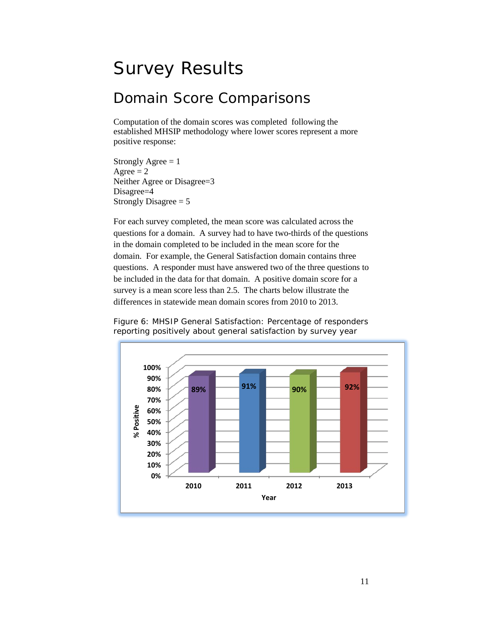## <span id="page-10-0"></span>Survey Results

#### <span id="page-10-1"></span>Domain Score Comparisons

Computation of the domain scores was completed following the established MHSIP methodology where lower scores represent a more positive response:

Strongly Agree  $= 1$ Agree  $= 2$ Neither Agree or Disagree=3 Disagree=4 Strongly Disagree  $= 5$ 

For each survey completed, the mean score was calculated across the questions for a domain. A survey had to have two-thirds of the questions in the domain completed to be included in the mean score for the domain. For example, the General Satisfaction domain contains three questions. A responder must have answered two of the three questions to be included in the data for that domain. A positive domain score for a survey is a mean score less than 2.5. The charts below illustrate the differences in statewide mean domain scores from 2010 to 2013.



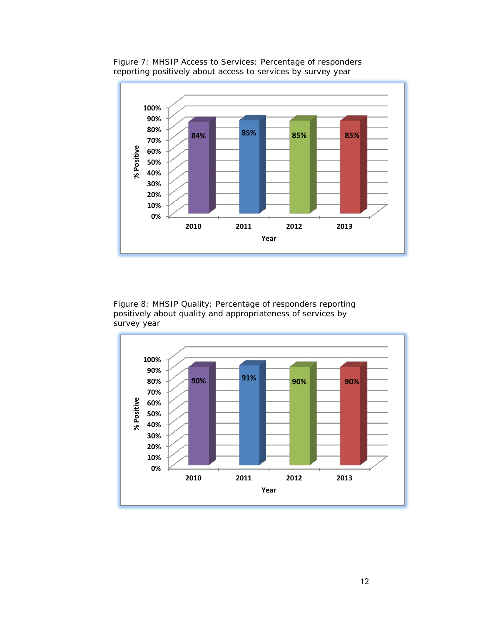

Figure 7: MHSIP Access to Services: Percentage of responders reporting positively about access to services by survey year

Figure 8: MHSIP Quality: Percentage of responders reporting positively about quality and appropriateness of services by survey year

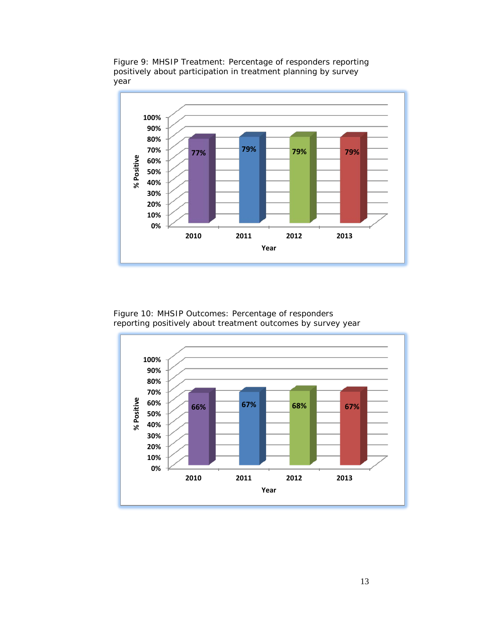

Figure 9: MHSIP Treatment: Percentage of responders reporting positively about participation in treatment planning by survey year

Figure 10: MHSIP Outcomes: Percentage of responders reporting positively about treatment outcomes by survey year

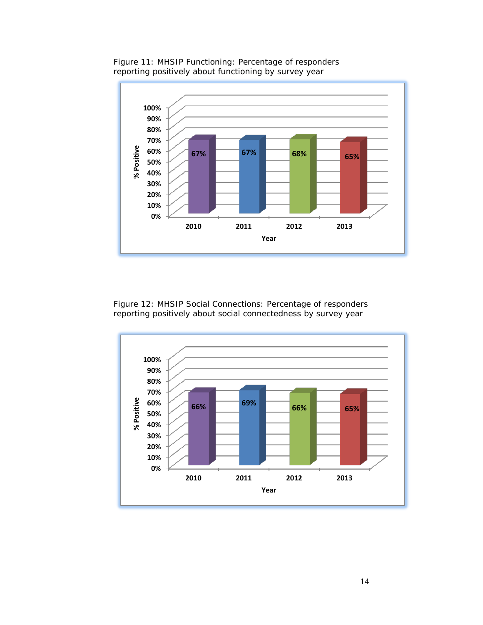

Figure 11: MHSIP Functioning: Percentage of responders reporting positively about functioning by survey year

Figure 12: MHSIP Social Connections: Percentage of responders reporting positively about social connectedness by survey year

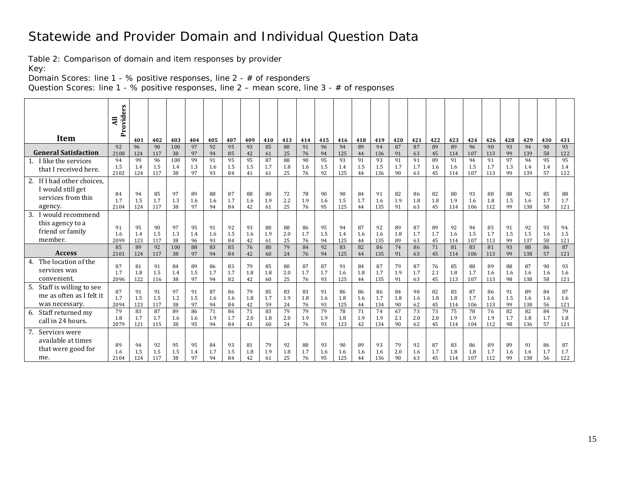#### Statewide and Provider Domain and Individual Question Data

Table 2: Comparison of domain and item responses by provider

Key:

Domain Scores: line 1 - % positive responses, line 2 - # of responders

Question Scores: line 1 - % positive responses, line 2 – mean score, line 3 - # of responses

<span id="page-14-0"></span>

|                                                                                  | ers<br>Provid<br>$\overline{a}$ |                  |                  |                  |                 |                 |                 |                 |                 |                 |                 |                 |                  |                 |                  |                 |                 |                 |                  |                  |                  |                 |                  |                 |                   |
|----------------------------------------------------------------------------------|---------------------------------|------------------|------------------|------------------|-----------------|-----------------|-----------------|-----------------|-----------------|-----------------|-----------------|-----------------|------------------|-----------------|------------------|-----------------|-----------------|-----------------|------------------|------------------|------------------|-----------------|------------------|-----------------|-------------------|
| Item                                                                             |                                 | 401              | 402              | 403              | 404             | 405             | 407             | 409             | 410             | 413             | 414             | 415             | 416              | 418             | 419              | 420             | 421             | 422             | 423              | 424              | 426              | 428             | 429              | 430             | 431               |
| <b>General Satisfaction</b>                                                      | 92<br>2108                      | 96<br>124        | 90<br>117        | 100<br>38        | 97<br>97        | 92<br>94        | 95<br>85        | 93<br>42        | 85<br>61        | 80<br>25        | 91<br>76        | 96<br>94        | 94<br>125        | 89<br>44        | 94<br>136        | 87<br>91        | 87<br>63        | 89<br>45        | 89<br>114        | 96<br>107        | 90<br>113        | 93<br>99        | 94<br>139        | 90<br>58        | 93<br>122         |
| 1. I like the services<br>that I received here.                                  | 94<br>1.5<br>2102               | 99<br>1.4<br>124 | 96<br>1.5<br>117 | 100<br>1.4<br>38 | 99<br>1.3<br>97 | 91<br>1.6<br>93 | 95<br>1.5<br>84 | 95<br>1.5<br>41 | 87<br>1.7<br>61 | 88<br>1.8<br>25 | 90<br>1.6<br>76 | 95<br>1.5<br>92 | 93<br>1.4<br>125 | 91<br>1.5<br>44 | 93<br>1.5<br>136 | 91<br>1.7<br>90 | 91<br>1.7<br>63 | 89<br>1.6<br>45 | 91<br>1.6<br>114 | 94<br>1.5<br>107 | 91<br>1.7<br>113 | 97<br>1.3<br>99 | 94<br>1.4<br>139 | 95<br>1.4<br>57 | 95<br>1.4<br>122  |
| 2. If I had other choices.<br>I would still get<br>services from this<br>agency. | 84<br>1.7<br>2104               | 94<br>1.5<br>124 | 85<br>1.7<br>117 | 97<br>1.3<br>38  | 89<br>1.6<br>97 | 88<br>1.6<br>94 | 87<br>1.7<br>84 | 88<br>1.6<br>42 | 80<br>1.9<br>61 | 72<br>2.2<br>25 | 78<br>1.9<br>76 | 90<br>1.6<br>95 | 90<br>1.5<br>125 | 84<br>1.7<br>44 | 91<br>1.6<br>135 | 82<br>1.9<br>91 | 86<br>1.8<br>63 | 82<br>1.8<br>45 | 80<br>1.9<br>114 | 93<br>1.6<br>106 | 88<br>1.8<br>112 | 88<br>1.5<br>99 | 92<br>1.6<br>138 | 85<br>1.7<br>58 | 88<br>1.7<br>121  |
| would recommend<br>3.<br>this agency to a<br>friend or family<br>member.         | 91<br>1.6<br>2099               | 95<br>1.4<br>123 | 90<br>1.5<br>117 | 97<br>1.3<br>38  | 95<br>1.4<br>96 | 91<br>1.6<br>93 | 92<br>1.5<br>84 | 93<br>1.6<br>42 | 80<br>1.9<br>61 | 88<br>2.0<br>25 | 86<br>1.7<br>76 | 95<br>1.5<br>94 | 94<br>1.4<br>125 | 87<br>1.6<br>44 | 92<br>1.6<br>135 | 89<br>1.8<br>89 | 87<br>1.7<br>63 | 89<br>1.7<br>45 | 92<br>1.6<br>114 | 94<br>1.5<br>107 | 85<br>1.7<br>113 | 91<br>1.5<br>99 | 92<br>1.5<br>137 | 93<br>1.6<br>58 | 94.<br>1.5<br>121 |
| <b>Access</b>                                                                    | 85<br>2101                      | 89<br>124        | 92<br>117        | 100<br>38        | 88<br>97        | 83<br>94        | 85<br>84        | 76<br>42        | 80<br>60        | 79<br>24        | 84<br>76        | 92<br>94        | 83<br>125        | 82<br>44        | 86<br>135        | 74<br>91        | 86<br>63        | 71<br>45        | 81<br>114        | 83<br>106        | 81<br>113        | 93<br>99        | 88<br>138        | 86<br>57        | 87<br>121         |
| The location of the<br>4.<br>services was<br>convenient.                         | 87<br>1.7<br>2096               | 81<br>1.8<br>122 | 91<br>1.5<br>116 | 84<br>1.4<br>38  | 89<br>1.5<br>97 | 86<br>1.7<br>94 | 83<br>1.7<br>82 | 79<br>1.8<br>42 | 85<br>1.8<br>60 | 80<br>2.0<br>25 | 87<br>1.7<br>76 | 87<br>1.7<br>93 | 91<br>1.6<br>125 | 84<br>1.8<br>44 | 87<br>1.7<br>135 | 79<br>1.9<br>91 | 87<br>1.7<br>63 | 76<br>2.1<br>45 | 85<br>1.8<br>113 | 88<br>1.7<br>107 | 89<br>1.6<br>113 | 88<br>1.6<br>98 | 87<br>1.6<br>138 | 90<br>1.6<br>58 | 93<br>1.6<br>121  |
| 5. Staff is willing to see<br>me as often as I felt it<br>was necessary.         | 87<br>1.7<br>2094               | 91<br>1.5<br>123 | 91<br>1.5<br>117 | 97<br>1.2<br>38  | 91<br>1.5<br>97 | 87<br>1.6<br>94 | 86<br>1.6<br>84 | 79<br>1.8<br>42 | 85<br>1.7<br>59 | 83<br>1.9<br>24 | 83<br>1.8<br>76 | 91<br>1.6<br>93 | 86<br>1.8<br>125 | 86<br>1.6<br>44 | 86<br>1.7<br>134 | 84<br>1.8<br>90 | 90<br>1.6<br>62 | 82<br>1.8<br>45 | 83<br>1.8<br>114 | 87<br>1.7<br>106 | 86<br>1.6<br>113 | 91<br>1.5<br>99 | 89<br>1.6<br>138 | 84<br>1.6<br>56 | 87<br>1.6<br>121  |
| 6. Staff returned my<br>call in 24 hours.                                        | 79<br>1.8<br>2079               | 83<br>1.7<br>121 | 87<br>1.7<br>115 | 89<br>1.6<br>38  | 86<br>1.6<br>95 | 71<br>1.9<br>94 | 86<br>1.7<br>84 | 71<br>2.0<br>41 | 83<br>1.8<br>60 | 79<br>2.0<br>24 | 79<br>1.9<br>76 | 79<br>1.9<br>93 | 78<br>1.8<br>123 | 71<br>1.9<br>42 | 74<br>1.9<br>134 | 67<br>2.1<br>90 | 73<br>2.0<br>62 | 73<br>2.0<br>45 | 75<br>1.9<br>114 | 78<br>1.9<br>104 | 76<br>1.9<br>112 | 82<br>1.7<br>98 | 82<br>1.8<br>136 | 84<br>1.7<br>57 | 79<br>1.8<br>121  |
| Services were<br>7.<br>available at times<br>that were good for<br>me.           | 89<br>1.6<br>2104               | 94<br>1.5<br>124 | 92<br>1.5<br>117 | 95<br>1.5<br>38  | 95<br>1.4<br>97 | 84<br>1.7<br>94 | 93<br>1.5<br>84 | 81<br>1.8<br>42 | 79<br>1.9<br>61 | 92<br>1.8<br>25 | 88<br>1.7<br>76 | 93<br>1.6<br>95 | 90<br>1.6<br>125 | 89<br>1.6<br>44 | 93<br>1.6<br>136 | 79<br>2.0<br>90 | 92<br>1.6<br>63 | 87<br>1.7<br>45 | 83<br>1.8<br>114 | 86<br>1.8<br>107 | 89<br>1.7<br>112 | 89<br>1.6<br>99 | 91<br>1.6<br>138 | 86<br>1.7<br>56 | 87<br>1.7<br>122  |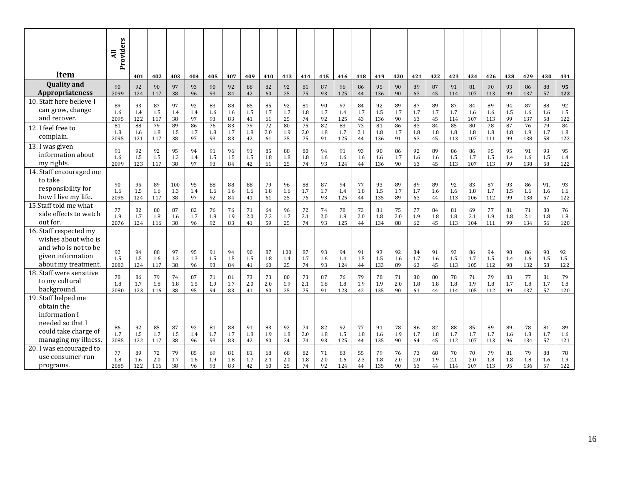|                                                                                                                        | Providers<br>Ę    |                  |                  |                  |                 |                 |                 |                     |                 |                  |                 |                 |                  |                 |                  |                 |                 |                 |                  |                  |                  |                 |                  |                  |                  |
|------------------------------------------------------------------------------------------------------------------------|-------------------|------------------|------------------|------------------|-----------------|-----------------|-----------------|---------------------|-----------------|------------------|-----------------|-----------------|------------------|-----------------|------------------|-----------------|-----------------|-----------------|------------------|------------------|------------------|-----------------|------------------|------------------|------------------|
| Item                                                                                                                   |                   |                  |                  |                  |                 |                 |                 |                     |                 |                  |                 |                 |                  |                 |                  |                 |                 |                 |                  |                  |                  |                 |                  |                  |                  |
| <b>Quality and</b>                                                                                                     |                   | 401              | 402              | 403              | 404             | 405             | 407             | 409                 | 410             | 413              | 414             | 415             | 416              | 418             | 419              | 420             | 421             | 422             | 423              | 424              | 426              | 428             | 429              | 430              | 431              |
| Appropriateness                                                                                                        | 90<br>2099        | 92<br>124        | 90<br>117        | 97<br>38         | 93<br>96        | 90<br>93        | 92<br>84        | 88<br>42            | 82<br>60        | 92<br>25         | 81<br>75        | 87<br>93        | 96<br>125        | 86<br>44        | 95<br>136        | 90<br>90        | 89<br>63        | 87<br>45        | 91<br>114        | 81<br>107        | 90<br>113        | 93<br>99        | 86<br>137        | 88<br>57         | 95<br>122        |
| 10. Staff here believe I<br>can grow, change<br>and recover.                                                           | 89<br>1.6<br>2095 | 93<br>1.4<br>122 | 87<br>1.5<br>117 | 97<br>1.4<br>38  | 92<br>1.4<br>97 | 83<br>1.6<br>93 | 88<br>1.6<br>83 | 85<br>1.5<br>41     | 85<br>1.7<br>61 | 92<br>1.7<br>25  | 81<br>1.8<br>74 | 90<br>1.7<br>92 | 97<br>1.4<br>125 | 84<br>1.7<br>43 | 92<br>1.5<br>136 | 89<br>1.7<br>90 | 87<br>1.7<br>63 | 89<br>1.7<br>45 | 87<br>1.7<br>114 | 84<br>1.6<br>107 | 89<br>1.6<br>113 | 94<br>1.5<br>99 | 87<br>1.6<br>137 | 88<br>1.6<br>58  | 92<br>1.5<br>122 |
| 12. I feel free to<br>complain.                                                                                        | 81<br>1.8<br>2095 | 88<br>1.6<br>121 | 79<br>1.8<br>117 | 89<br>1.5<br>38  | 86<br>1.7<br>97 | 76<br>1.8<br>93 | 83<br>1.7<br>83 | 79<br>1.8<br>42     | 72<br>2.0<br>61 | 80<br>1.9<br>25  | 75<br>2.0<br>75 | 82<br>1.8<br>91 | 83<br>1.7<br>125 | 73<br>2.1<br>44 | 81<br>1.8<br>136 | 86<br>1.7<br>91 | 83<br>1.8<br>63 | 84<br>1.8<br>45 | 85<br>1.8<br>113 | 80<br>1.8<br>107 | 78<br>1.8<br>111 | 87<br>1.8<br>99 | 76<br>1.9<br>138 | 79<br>1.7<br>58  | 84<br>1.8<br>122 |
| 13. I was given<br>information about<br>my rights.                                                                     | 91<br>1.6<br>2099 | 92<br>1.5<br>123 | 92<br>1.5<br>117 | 95<br>1.3<br>38  | 94<br>1.4<br>97 | 91<br>1.5<br>93 | 96<br>1.5<br>84 | 91<br>1.5<br>42     | 85<br>1.8<br>61 | 88<br>1.8<br>25  | 80<br>1.8<br>74 | 94<br>1.6<br>93 | 91<br>1.6<br>124 | 93<br>1.6<br>44 | 90<br>1.6<br>136 | 86<br>1.7<br>90 | 92<br>1.6<br>63 | 89<br>1.6<br>45 | 86<br>1.5<br>113 | 86<br>1.7<br>107 | 95<br>1.5<br>113 | 95<br>1.4<br>99 | 91<br>1.6<br>138 | 93<br>1.5<br>58  | 95<br>1.4<br>122 |
| 14. Staff encouraged me<br>to take<br>responsibility for<br>how I live my life.                                        | 90<br>1.6<br>2095 | 95<br>1.5<br>124 | 89<br>1.6<br>117 | 100<br>1.3<br>38 | 95<br>1.4<br>97 | 88<br>1.6<br>92 | 88<br>1.6<br>84 | 88<br>1.6<br>41     | 79<br>1.8<br>61 | 96<br>1.6<br>25  | 88<br>1.7<br>76 | 87<br>1.7<br>93 | 94<br>1.4<br>125 | 77<br>1.8<br>44 | 93<br>1.5<br>135 | 89<br>1.7<br>89 | 89<br>1.7<br>63 | 89<br>1.6<br>44 | 92<br>1.6<br>113 | 83<br>1.8<br>106 | 87<br>1.7<br>112 | 93<br>1.5<br>99 | 86<br>1.6<br>138 | 91.<br>1.6<br>57 | 93<br>1.6<br>122 |
| 15.Staff told me what<br>side effects to watch<br>out for.                                                             | 77<br>1.9<br>2076 | 82<br>1.7<br>124 | 80<br>1.8<br>116 | 87<br>1.6<br>38  | 82<br>1.7<br>96 | 76<br>1.8<br>92 | 76<br>1.9<br>83 | 71<br>2.0<br>41     | 64<br>2.2<br>59 | 96<br>1.7<br>25  | 72<br>2.1<br>74 | 74<br>2.0<br>93 | 78<br>1.8<br>125 | 73<br>2.0<br>44 | 81<br>1.8<br>134 | 75<br>2.0<br>88 | 77<br>1.9<br>62 | 84<br>1.8<br>45 | 81<br>1.8<br>113 | 69<br>2.1<br>104 | 77<br>1.9<br>111 | 81<br>1.8<br>99 | 71<br>2.1<br>134 | 80<br>1.8<br>56  | 76<br>1.8<br>120 |
| 16. Staff respected my<br>wishes about who is<br>and who is not to be<br>given information<br>about my treatment.      | 92<br>1.5<br>2083 | 94<br>1.5<br>124 | 88<br>1.6<br>117 | 97<br>1.3<br>38  | 95<br>1.3<br>96 | 91<br>1.5<br>93 | 94<br>1.5<br>84 | 90<br>1.5<br>41     | 87<br>1.8<br>60 | 100<br>1.4<br>25 | 87<br>1.7<br>74 | 93<br>1.6<br>93 | 94<br>1.4<br>124 | 91<br>1.5<br>44 | 93<br>1.5<br>133 | 92<br>1.6<br>89 | 84<br>1.7<br>63 | 91<br>1.6<br>45 | 93<br>1.5<br>113 | 86<br>1.7<br>105 | 94<br>1.5<br>112 | 98<br>1.4<br>98 | 86<br>1.6<br>132 | 90<br>1.5<br>58  | 92<br>1.5<br>122 |
| 18. Staff were sensitive<br>to my cultural<br>background.                                                              | 78<br>1.8<br>2080 | 86<br>1.7<br>123 | 79<br>1.8<br>116 | 74<br>1.8<br>38  | 87<br>1.5<br>95 | 71<br>1.9<br>94 | 81<br>1.7<br>83 | 73<br>$2.0\,$<br>41 | 73<br>2.0<br>60 | 80<br>1.9<br>25  | 73<br>2.1<br>75 | 87<br>1.8<br>91 | 76<br>1.8<br>123 | 79<br>1.9<br>42 | 78<br>1.9<br>135 | 71<br>2.0<br>90 | 80<br>1.8<br>61 | 80<br>1.8<br>44 | 78<br>1.8<br>114 | 71<br>1.9<br>105 | 79<br>1.8<br>112 | 83<br>1.7<br>99 | 77<br>1.8<br>137 | 81<br>1.7<br>57  | 79<br>1.8<br>120 |
| 19. Staff helped me<br>obtain the<br>information I<br>needed so that I<br>could take charge of<br>managing my illness. | 86<br>1.7<br>2085 | 92<br>1.5<br>122 | 85<br>1.7<br>117 | 87<br>1.5<br>38  | 92<br>1.4<br>96 | 81<br>1.7<br>93 | 88<br>1.7<br>83 | 91<br>1.8<br>42     | 83<br>1.9<br>60 | 92<br>1.8<br>24  | 74<br>2.0<br>74 | 82<br>1.8<br>93 | 92<br>1.5<br>125 | 77<br>1.8<br>44 | 91<br>1.6<br>135 | 78<br>1.9<br>90 | 86<br>1.7<br>64 | 82<br>1.8<br>45 | 88<br>1.7<br>112 | 85<br>1.7<br>107 | 89<br>1.7<br>113 | 89<br>1.6<br>96 | 78<br>1.8<br>134 | 81<br>1.7<br>57  | 89<br>1.6<br>121 |
| 20. I was encouraged to<br>use consumer-run<br>programs.                                                               | 77<br>1.8<br>2085 | 89<br>1.6<br>122 | 72<br>2.0<br>116 | 79<br>1.7<br>38  | 85<br>1.6<br>96 | 69<br>1.9<br>93 | 81<br>1.8<br>83 | 81<br>1.7<br>42     | 68<br>2.1<br>60 | 68<br>2.0<br>25  | 82<br>1.8<br>74 | 71<br>2.0<br>92 | 83<br>1.6<br>124 | 55<br>2.3<br>44 | 79<br>1.8<br>135 | 76<br>2.0<br>90 | 73<br>2.0<br>63 | 68<br>1.9<br>44 | 70<br>2.1<br>114 | 70<br>2.0<br>107 | 79<br>1.8<br>113 | 81<br>1.8<br>95 | 79<br>1.8<br>136 | 88<br>1.6<br>57  | 78<br>1.9<br>122 |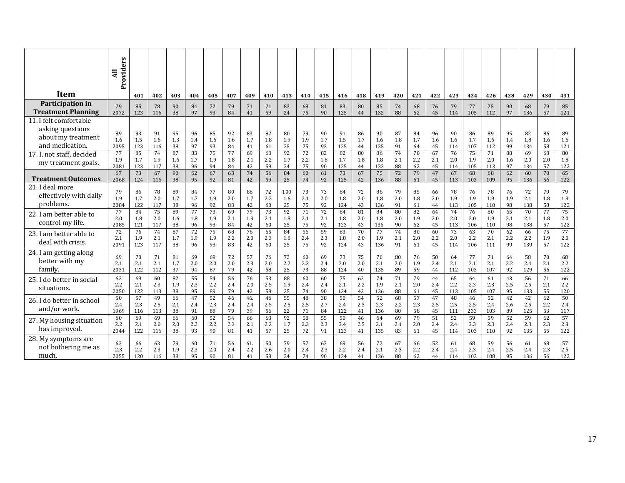|                                                                                                                  | Providers<br>$\overline{a}$    |                               |                               |                              |                              |                              |                              |                              |                              |                               |                              |                              |                               |                              |                               |                              |                              |                              |                               |                               |                               |                              |                               |                              |                               |
|------------------------------------------------------------------------------------------------------------------|--------------------------------|-------------------------------|-------------------------------|------------------------------|------------------------------|------------------------------|------------------------------|------------------------------|------------------------------|-------------------------------|------------------------------|------------------------------|-------------------------------|------------------------------|-------------------------------|------------------------------|------------------------------|------------------------------|-------------------------------|-------------------------------|-------------------------------|------------------------------|-------------------------------|------------------------------|-------------------------------|
| <b>Item</b>                                                                                                      |                                | 401                           | 402                           | 403                          | 404                          | 405                          | 407                          | 409                          | 410                          | 413                           | 414                          | 415                          | 416                           | 418                          | 419                           | 420                          | 421                          | 422                          | 423                           | 424                           | 426                           | 428                          | 429                           | 430                          | 431                           |
| Participation in<br><b>Treatment Planning</b>                                                                    | 79<br>2072                     | 85<br>123                     | 78<br>116                     | 90<br>38                     | 84<br>97                     | 72<br>93                     | 79<br>84                     | 71<br>41                     | 71<br>59                     | 83<br>24                      | 68<br>75                     | 81<br>90                     | 83<br>125                     | 80<br>44                     | 85<br>132                     | 74<br>88                     | 68<br>62                     | 76<br>45                     | 79<br>114                     | 77<br>105                     | 75<br>112                     | 90<br>97                     | 68<br>136                     | 79<br>57                     | 85<br>121                     |
| 11. I felt comfortable<br>asking questions<br>about my treatment<br>and medication.<br>17. I. not staff, decided | 89<br>1.6<br>2095<br>77        | 93<br>1.5<br>123<br>85        | 91<br>1.6<br>116<br>74        | 95<br>1.3<br>38<br>87        | 96<br>1.4<br>97<br>83        | 85<br>1.6<br>93<br>75        | 92<br>1.6<br>84<br>77        | 83<br>1.7<br>41<br>69        | 82<br>1.8<br>61<br>68        | 80<br>1.9<br>25<br>92         | 79<br>1.9<br>75<br>72        | 90<br>1.7<br>93<br>82        | 91<br>1.5<br>125<br>82        | 86<br>1.7<br>44<br>80        | 90<br>1.6<br>135<br>86        | 87<br>1.8<br>91<br>74        | 84<br>1.7<br>64<br>70        | 96<br>1.6<br>45<br>67        | 90<br>1.6<br>114<br>76        | 86<br>1.7<br>107<br>75        | 89<br>1.6<br>112<br>71        | 95<br>1.4<br>99<br>88        | 82<br>1.8<br>134<br>69        | 86<br>1.6<br>58<br>68        | 89<br>1.6<br>121<br>80        |
| my treatment goals.                                                                                              | 1.9<br>2081                    | 1.7<br>123                    | 1.9<br>117                    | 1.6<br>38                    | 1.7<br>96                    | 1.9<br>94                    | 1.8<br>84                    | 2.1<br>42                    | 2.2<br>59                    | 1.7<br>24                     | 2.2<br>75                    | 1.8<br>90                    | 1.7<br>125                    | 1.8<br>44                    | 1.8<br>133                    | 2.1<br>88                    | 2.2<br>62                    | 2.1<br>45                    | 2.0<br>114                    | 1.9<br>105                    | 2.0<br>113                    | 1.6<br>97                    | 2.0<br>134                    | 2.0<br>57                    | 1.8<br>122                    |
| <b>Treatment Outcomes</b>                                                                                        | 67<br>2068                     | 73<br>124                     | 67<br>116                     | 90<br>38                     | 62<br>95                     | 67<br>92                     | 63<br>81                     | 74<br>42                     | 56<br>59                     | 84<br>25                      | 60<br>74                     | 61<br>92                     | 73<br>125                     | 67<br>42                     | 75<br>136                     | 72<br>88                     | 79<br>61                     | 47<br>45                     | 67<br>113                     | 68<br>103                     | 68<br>109                     | 62<br>95                     | 60<br>136                     | 70<br>56                     | 65<br>122                     |
| 21. I deal more<br>effectively with daily<br>problems.<br>22. I am better able to                                | 79<br>1.9<br>2084<br>77<br>2.0 | 86<br>1.7<br>122<br>84<br>1.8 | 78<br>2.0<br>117<br>75<br>2.0 | 89<br>1.7<br>38<br>89<br>1.6 | 84<br>1.7<br>96<br>77<br>1.8 | 77<br>1.9<br>92<br>73<br>1.9 | 80<br>2.0<br>83<br>69<br>2.1 | 88<br>1.7<br>42<br>79<br>1.9 | 72<br>2.2<br>60<br>73<br>2.1 | 100<br>1.6<br>25<br>92<br>1.8 | 73<br>2.1<br>75<br>71<br>2.1 | 73<br>2.0<br>92<br>72<br>2.1 | 84<br>1.8<br>124<br>84<br>1.8 | 72<br>2.0<br>43<br>81<br>2.0 | 86<br>1.8<br>136<br>84<br>1.8 | 79<br>2.0<br>91<br>80<br>2.0 | 85<br>1.8<br>61<br>82<br>1.9 | 66<br>2.0<br>44<br>64<br>2.0 | 78<br>1.9<br>113<br>74<br>2.0 | 76<br>1.9<br>105<br>76<br>2.0 | 78<br>1.9<br>110<br>80<br>1.9 | 76<br>1.9<br>98<br>65<br>2.1 | 72<br>2.1<br>138<br>70<br>2.1 | 79<br>1.8<br>58<br>77<br>1.8 | 79<br>1.9<br>122<br>75<br>2.0 |
| control my life.<br>23. I am better able to<br>deal with crisis.                                                 | 2085<br>72<br>2.1              | 121<br>76<br>1.9              | 117<br>74<br>2.1              | 38<br>87<br>1.7              | 96<br>72<br>1.9              | 93<br>75<br>1.9              | 84<br>68<br>2.2              | 42<br>76<br>2.0              | 60<br>65<br>2.3              | 25<br>84<br>1.8               | 75<br>56<br>2.4              | 92<br>59<br>2.3              | 123<br>83<br>1.8              | 43<br>70<br>2.0              | 136<br>77<br>1.9              | 90<br>74<br>2.1              | 62<br>80<br>2.0              | 45<br>60<br>2.2              | 113<br>73<br>2.0              | 106<br>63<br>2.2              | 110<br>70<br>2.1              | 98<br>62<br>2.2              | 138<br>66<br>2.2              | 57<br>75<br>1.9              | 122<br>77<br>2.0              |
| 24. I am getting along<br>better with my<br>family.                                                              | 2091<br>69<br>2.1<br>2031      | 123<br>70<br>2.1<br>122       | 117<br>71<br>2.1<br>112       | 38<br>81<br>1.7<br>37        | 96<br>69<br>2.0<br>94        | 93<br>69<br>2.0<br>87        | 83<br>72<br>2.0<br>79        | 42<br>57<br>2.3<br>42        | 60<br>76<br>2.0<br>58        | 25<br>72<br>2.2<br>25         | 75<br>60<br>2.3<br>73        | 92<br>69<br>2.4<br>88        | 124<br>73<br>2.0<br>124       | 43<br>75<br>2.0<br>40        | 136<br>70<br>2.1<br>135       | 91<br>80<br>2.0<br>89        | 61<br>76<br>1.9<br>59        | 45<br>50<br>2.4<br>44        | 114<br>64<br>2.1<br>112       | 106<br>77<br>2.1<br>103       | 111<br>71<br>2.1<br>107       | 99<br>64<br>2.2<br>92        | 139<br>58<br>2.4<br>129       | 57<br>70<br>2.1<br>56        | 122<br>68<br>2.2<br>122       |
| 25. I do better in social<br>situations.                                                                         | 63<br>2.2<br>2050              | 69<br>2.1<br>122              | 60<br>2.3<br>113              | 82<br>1.9<br>38              | 55<br>2.3<br>95              | 54<br>2.2<br>89              | 56<br>2.4<br>79              | 76<br>2.0<br>42              | 53<br>2.5<br>58              | 88<br>1.9<br>25               | 60<br>2.4<br>74              | 60<br>2.4<br>90              | 75<br>2.1<br>124              | 62<br>2.2<br>42              | 74<br>1.9<br>136              | 71<br>2.1<br>88              | 79<br>2.0<br>61              | 44<br>2.4<br>45              | 65<br>2.2<br>113              | 64<br>2.3<br>105              | 61<br>2.3<br>107              | 43<br>2.5<br>95              | 56<br>2.5<br>133              | 71<br>2.1<br>55              | 66<br>2.2<br>120              |
| 26. I do better in school<br>and/or work.                                                                        | 50<br>2.4<br>1969              | 57<br>2.3<br>116              | 49<br>2.5<br>113              | 66<br>2.1<br>38              | 47<br>2.4<br>91              | 52<br>2.3<br>88              | 46<br>2.4<br>79              | 46.<br>2.4<br>39             | 46<br>2.5<br>56              | 55<br>2.5<br>22               | 48<br>2.5<br>71              | 38<br>2.7<br>84              | 50<br>2.4<br>122              | 54<br>2.3<br>41              | 52<br>2.3<br>136              | 68<br>2.2<br>80              | 57<br>2.3<br>58              | 47<br>2.5<br>45              | 48<br>2.5<br>111              | 46<br>2.5<br>233              | 52<br>2.4<br>103              | 42<br>2.6<br>89              | 42<br>2.5<br>125              | 62<br>2.2<br>53              | 50<br>2.4<br>117              |
| 27. My housing situation<br>has improved.                                                                        | 60<br>2.2<br>2044              | 69<br>2.1<br>122              | 69<br>2.0<br>116              | 66<br>2.0<br>38              | 60<br>2.2<br>93              | 52<br>2.2<br>90              | 54<br>2.3<br>81              | 66<br>2.1<br>41              | 63<br>2.2<br>57              | 92<br>1.7<br>25               | 58<br>2.3<br>72              | 55<br>2.3<br>91              | 50<br>2.4<br>123              | 46<br>2.5<br>41              | 64<br>2.1<br>135              | 69<br>2.1<br>83              | 79<br>2.0<br>61              | 51<br>2.4<br>45              | 52<br>2.4<br>114              | 59<br>2.3<br>103              | 59<br>2.3<br>110              | 52<br>2.4<br>92              | 59<br>2.3<br>135              | 62<br>2.3<br>55              | 57<br>2.3<br>122              |
| 28. My symptoms are<br>not bothering me as<br>much.                                                              | 63<br>2.3<br>2055              | 66<br>2.2<br>120              | 63<br>2.3<br>116              | 79<br>1.9<br>38              | 60<br>2.3<br>95              | 71<br>2.0<br>90              | 56<br>2.4<br>81              | 61.<br>2.2<br>41             | 50<br>2.6<br>58              | 79<br>2.0<br>24               | 57<br>2.4<br>74              | 63<br>2.3<br>90              | 69<br>2.2<br>124              | 56<br>2.4<br>41              | 72<br>2.1<br>136              | 67<br>2.3<br>88              | 66<br>2.2<br>62              | 52<br>2.4<br>44              | 61<br>2.4<br>114              | 68<br>2.3<br>102              | 59<br>2.4<br>108              | 56<br>2.5<br>95              | 61<br>2.4<br>136              | 68<br>2.3<br>56              | 57<br>2.5<br>122              |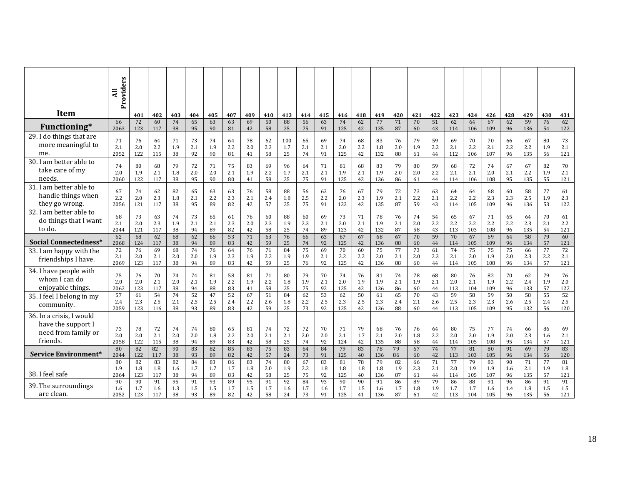|                                                                                   | Providers<br>$\overline{a}$ |                  |                  |                 |                 |                 |                 |                 |                 |                 |                 |                 |                  |                 |                  |                 |                 |                 |                  |                  |                  |                 |                  |                 |                  |
|-----------------------------------------------------------------------------------|-----------------------------|------------------|------------------|-----------------|-----------------|-----------------|-----------------|-----------------|-----------------|-----------------|-----------------|-----------------|------------------|-----------------|------------------|-----------------|-----------------|-----------------|------------------|------------------|------------------|-----------------|------------------|-----------------|------------------|
| <b>Item</b>                                                                       |                             | 401              | 402              | 403             | 404             | 405             | 407             | 409             | 410             | 413             | 414             | 415             | 416              | 418             | 419              | 420             | 421             | 422             | 423              | 424              | 426              | 428             | 429              | 430             | 431              |
| Functioning*                                                                      | 66                          | 72               | 60               | 74              | 65              | 63              | 63              | 69              | 50              | 88              | 56              | 63              | 74               | 62              | 77               | 71              | 70              | 51              | 62               | 64               | 67               | 62              | 59               | 76              | 62               |
|                                                                                   | 2063                        | 123              | 117              | 38              | 95              | 90              | 81              | 42              | 58              | 25              | 75              | 91              | 125              | 42              | 135              | 87              | 60              | 43              | 114              | 106              | 109              | 96              | 136              | 54              | 122              |
| 29. I do things that are                                                          | 71                          | 76               | 64               | 71              | 73              | 74              | 64              | 78              | 62              | 100             | 65              | 69              | 74               | 68              | 83               | 76              | 79              | 59              | 69               | 70               | 70               | 66              | 67               | 80              | 73               |
| more meaningful to                                                                | 2.1                         | 2.0              | 2.2              | 1.9             | 2.1             | 1.9             | 2.2             | 2.0             | 2.3             | 1.7             | 2.1             | 2.1             | 2.0              | 2.2             | 1.8              | 2.0             | 1.9             | 2.2             | 2.1              | 2.2              | 2.1              | 2.2             | 2.2              | 1.9             | 2.1              |
| me.                                                                               | 2052                        | 122              | 115              | 38              | 92              | 90              | 81              | 41              | 58              | 25              | 74              | 91              | 125              | 42              | 132              | 88              | 61              | 44              | 112              | 106              | 107              | 96              | 135              | 56              | 121              |
| 30. I am better able to                                                           | 74                          | 80               | 68               | 79              | 72              | 71              | 75              | 83              | 69              | 96              | 64              | 71              | 81               | 68              | 83               | 79              | 80              | 59              | 68               | 72               | 74               | 67              | 67               | 82              | 70               |
| take care of my                                                                   | 2.0                         | 1.9              | 2.1              | 1.8             | 2.0             | 2.0             | 2.1             | 1.9             | 2.2             | 1.7             | 2.1             | 2.1             | 1.9              | 2.1             | 1.9              | 2.0             | 2.0             | 2.2             | 2.1              | 2.1              | 2.0              | 2.1             | 2.2              | 1.9             | 2.1              |
| needs.                                                                            | 2060                        | 122              | 117              | 38              | 95              | 90              | 80              | 41              | 58              | 25              | 75              | 91              | 125              | 42              | 136              | 86              | 61              | 44              | 114              | 106              | 108              | 95              | 135              | 55              | 121              |
| 31. I am better able to                                                           | 67                          | 74               | 62               | 82              | 65              | 63              | 63              | 76              | 58              | 88              | 56              | 63              | 76               | 67              | 79               | 72              | 73              | 63              | 64               | 64               | 68               | 60              | 58               | 77              | 61               |
| handle things when                                                                | 2.2                         | 2.0              | 2.3              | 1.8             | 2.1             | 2.2             | 2.3             | 2.1             | 2.4             | 1.8             | 2.5             | 2.2             | 2.0              | 2.3             | 1.9              | 2.1             | 2.2             | 2.1             | 2.2              | 2.2              | 2.3              | 2.3             | 2.5              | 1.9             | 2.3              |
| they go wrong.                                                                    | 2056                        | 121              | 117              | 38              | 95              | 89              | 82              | 42              | 57              | 25              | 75              | 91              | 123              | 42              | 135              | 87              | 59              | 43              | 114              | 105              | 109              | 96              | 136              | 53              | 122              |
| 32. I am better able to                                                           | 68                          | 73               | 63               | 74              | 73              | 65              | 61              | 76              | 60              | 88              | 60              | 69              | 73               | 71              | 78               | 76              | 74              | 54              | 65               | 67               | 71               | 65              | 64               | 70              | 61               |
| do things that I want                                                             | 2.1                         | 2.0              | 2.3              | 1.9             | 2.1             | 2.1             | 2.3             | 2.0             | 2.3             | 1.9             | 2.3             | 2.1             | 2.0              | 2.1             | 1.9              | 2.1             | 2.0             | 2.2             | 2.2              | 2.2              | 2.2              | 2.2             | 2.3              | 2.1             | 2.2              |
| to do.                                                                            | 2044                        | 121              | 117              | 38              | 94              | 89              | 82              | 42              | 58              | 25              | 74              | 89              | 123              | 42              | 132              | 87              | 58              | 43              | 113              | 103              | 108              | 96              | 135              | 54              | 121              |
| Social Connectedness*                                                             | 62                          | 68               | 62               | 68              | 62              | 66              | 53              | 71              | 63              | 76              | 66              | 63              | 67               | 67              | 68               | 67              | 70              | 59              | 70               | 67               | 69               | 64              | 58               | 79              | 60               |
|                                                                                   | 2068                        | 124              | 117              | 38              | 94              | 89              | 83              | 42              | 59              | 25              | 74              | 92              | 125              | 42              | 136              | 88              | 60              | 44              | 114              | 105              | 109              | 96              | 134              | 57              | 121              |
| 33. I am happy with the<br>friendships I have.                                    | 72<br>2.1<br>2069           | 76<br>2.0<br>123 | 69<br>2.1<br>117 | 68<br>2.0<br>38 | 74<br>2.0<br>94 | 76<br>1.9<br>89 | 64<br>2.3<br>83 | 76<br>1.9<br>42 | 71<br>2.2<br>59 | 84<br>1.9<br>25 | 75<br>1.9<br>76 | 69<br>2.1<br>92 | 70<br>2.2<br>125 | 60<br>2.2<br>42 | 75<br>2.0<br>136 | 77<br>2.1<br>88 | 73<br>2.0<br>60 | 61<br>2.3<br>44 | 74<br>2.1<br>114 | 75<br>2.0<br>105 | 75<br>1.9<br>108 | 75<br>2.0<br>96 | 66<br>2.3<br>134 | 77<br>2.2<br>57 | 72<br>2.1<br>121 |
| 34. I have people with                                                            | 75                          | 76               | 70               | 74              | 74              | 81              | 58              | 81              | 71              | 80              | 79              | 70              | 74               | 76              | 81               | 74              | 78              | 68              | 80               | 76               | 82               | 70              | 62               | 79              | 76               |
| whom I can do                                                                     | 2.0                         | 2.0              | 2.1              | 2.0             | 2.1             | 1.9             | 2.2             | 1.9             | 2.2             | 1.8             | 1.9             | 2.1             | 2.0              | 1.9             | 1.9              | 2.1             | 1.9             | 2.1             | 2.0              | 2.1              | 1.9              | 2.2             | 2.4              | 1.9             | 2.0              |
| enjoyable things.                                                                 | 2062                        | 123              | 117              | 38              | 94              | 88              | 83              | 41              | 58              | 25              | 75              | 92              | 125              | 42              | 136              | 86              | 60              | 44              | 113              | 104              | 109              | 96              | 133              | 57              | 122              |
| 35. I feel I belong in my<br>community.                                           | 57<br>2.4<br>2059           | 61<br>2.3<br>123 | 54<br>2.5<br>116 | 74<br>2.1<br>38 | 52<br>2.5<br>93 | 47<br>2.5<br>89 | 52<br>2.4<br>83 | 67<br>2.2<br>42 | 51<br>2.6<br>59 | 84<br>1.8<br>25 | 62<br>2.2<br>73 | 53<br>2.5<br>92 | 62<br>2.3<br>125 | 50<br>2.5<br>42 | 61<br>2.3<br>136 | 65<br>2.4<br>88 | 70<br>2.1<br>60 | 43<br>2.6<br>44 | 59<br>2.5<br>113 | 58<br>2.3<br>105 | 59<br>2.3<br>109 | 50<br>2.6<br>95 | 58<br>2.5<br>132 | 55<br>2.4<br>56 | 52<br>2.5<br>120 |
| 36. In a crisis, I would<br>have the support I<br>need from family or<br>friends. | 73<br>2.0<br>2058           | 78<br>2.0<br>122 | 72<br>2.1<br>115 | 74<br>2.0<br>38 | 74<br>2.0<br>94 | 80<br>1.8<br>89 | 65<br>2.2<br>83 | 81<br>2.0<br>42 | 74<br>2.1<br>58 | 72<br>2.1<br>25 | 72<br>2.0<br>74 | 70<br>2.0<br>92 | 71<br>2.1<br>124 | 79<br>1.7<br>42 | 68<br>2.1<br>135 | 76<br>2.0<br>88 | 76<br>1.8<br>58 | 64<br>2.2<br>44 | 80<br>2.0<br>114 | 75<br>2.0<br>105 | 77<br>1.9<br>108 | 74<br>2.0<br>95 | 66<br>2.3<br>134 | 86<br>1.6<br>57 | 69<br>2.1<br>121 |
| Service Environment*                                                              | 80                          | 82               | 82               | 90              | 83              | 82              | 85              | 83              | 75              | 83              | 64              | 84              | 79               | 83              | 78               | 79              | 67              | 74              | 77               | 81               | 80               | 91              | 69               | 79              | 83               |
|                                                                                   | 2044                        | 122              | 117              | 38              | 93              | 89              | 82              | 42              | 57              | 24              | 73              | 91              | 125              | 40              | 136              | 86              | 60              | 42              | 113              | 103              | 105              | 96              | 134              | 56              | 120              |
| 38. I feel safe                                                                   | 80                          | 82               | 83               | 82              | 84              | 83              | 86              | 83              | 74              | 80              | 67              | 83              | 81               | 78              | 79               | 82              | 66              | 71              | $\overline{77}$  | 79               | 83               | 90              | 71               | 77              | 81               |
|                                                                                   | 1.9                         | 1.8              | 1.8              | 1.6             | 1.7             | 1.7             | 1.7             | 1.8             | 2.0             | 1.9             | 2.2             | 1.8             | 1.8              | 1.8             | 1.8              | 1.9             | 2.3             | 2.1             | 2.0              | 1.9              | 1.9              | 1.6             | 2.1              | 1.9             | 1.8              |
|                                                                                   | 2064                        | 123              | 117              | 38              | 94              | 89              | 83              | 42              | 58              | 25              | 75              | 92              | 125              | 40              | 136              | 87              | 61              | 44              | 114              | 105              | 107              | 96              | 135              | 57              | 121              |
| 39. The surroundings<br>are clean.                                                | 90<br>1.6<br>2052           | 90<br>1.7<br>123 | 91<br>1.6<br>117 | 95<br>1.3<br>38 | 91<br>1.5<br>93 | 93<br>1.5<br>89 | 89<br>1.7<br>82 | 95<br>1.5<br>42 | 91<br>1.7<br>58 | 92<br>1.6<br>24 | 84<br>1.7<br>73 | 93<br>1.6<br>91 | 90<br>1.7<br>125 | 90<br>1.5<br>41 | 91<br>1.6<br>136 | 86<br>1.7<br>87 | 89<br>1.8<br>61 | 79<br>1.9<br>42 | 86<br>1.7<br>113 | 88<br>1.7<br>104 | 91<br>1.6<br>105 | 96<br>1.4<br>96 | 86<br>1.8<br>135 | 91<br>1.5<br>56 | 91<br>1.5<br>121 |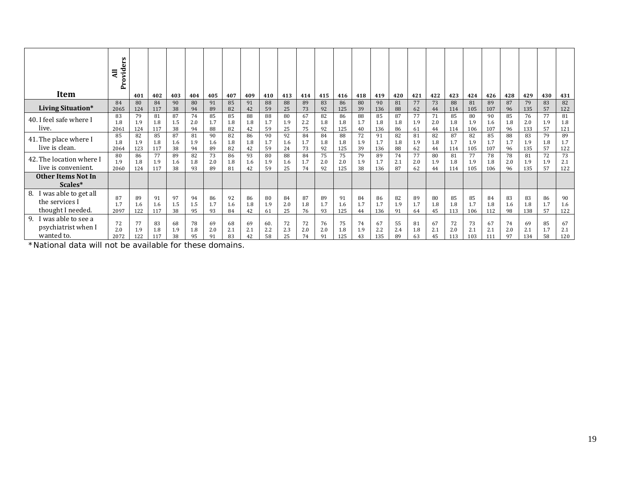| Item                        | ers<br>Provid<br>$\overline{a}$ | 401 | 402 | 403 | 404 | 405 | 407 | 409 | 410 | 413 | 414       | 415       | 416 | 418       | 419 | 420 | 421 | 422       | 423 | 424 | 426 | 428 | 429 | 430       | 431 |
|-----------------------------|---------------------------------|-----|-----|-----|-----|-----|-----|-----|-----|-----|-----------|-----------|-----|-----------|-----|-----|-----|-----------|-----|-----|-----|-----|-----|-----------|-----|
|                             | 84                              | 80  | 84  | 90  | 80  | 91  | 85  | 91  | 88  | 88  | 89        | 83        | 86  | 80        | 90  | 81  | 77  | 73        | 88  | 81  | 89  | 87  | 79  | 83        | 82  |
| <b>Living Situation*</b>    | 2065                            | 124 | 117 | 38  | 94  | 89  | 82  | 42  | 59  | 25  | 73        | 92        | 125 | 39        | 136 | 88  | 62  | 44        | 114 | 105 | 107 | 96  | 135 | 57        | 122 |
| 40. I feel safe where I     | 83                              | 79  | 81  | 87  | 74  | 85  | 85  | 88  | 88  | 80  | 67        | 82        | 86  | 88        | 85  | 87  | 77  | 71        | 85  | 80  | 90  | 85  | 76  | 77        | 81  |
|                             | 1.8                             | 1.9 | 1.8 | 1.5 | 2.0 | 1.7 | 1.8 | 1.8 | 1.7 | 1.9 | 2.2       | 1.8       | 1.8 | 1.7       | 1.8 | 1.8 | 1.9 | 2.0       | 1.8 | 1.9 | 1.6 | 1.8 | 2.0 | 1.9       | 1.8 |
| live.                       | 2061                            | 124 | 117 | 38  | 94  | 88  | 82  | 42  | 59  | 25  | 75        | 92        | 125 | 40        | 136 | 86  | 61  | 44        | 114 | 106 | 107 | 96  | 133 | 57        | 121 |
| 41. The place where I       | 85                              | 82  | 85  | 87  | 81  | 90  | 82  | 86  | 90  | 92  | 84        | 84        | 88  | 72        | 91  | 82  | 81  | 82        | 87  | 82  | 85  | 88  | 83  | 79        | 89  |
|                             | 1.8                             | 1.9 | 1.8 | 1.6 | 1.9 | 1.6 | 1.8 | 1.8 | 1.7 | 1.6 | 1.7       | 1.8       | 1.8 | 1.9       | 1.7 | 1.8 | 1.9 | 1.8       | 1.7 | 1.9 | 1.7 | 1.7 | 1.9 | 1.8       | 1.7 |
| live is clean.              | 2064                            | 123 | 117 | 38  | 94  | 89  | 82  | 42  | 59  | 24  | 73        | 92        | 125 | 39        | 136 | 88  | 62  | 44        | 114 | 105 | 107 | 96  | 135 | 57        | 122 |
| 42. The location where I    | 80                              | 86  | 77  | 89  | 82  | 73  | 86  | 93  | 80  | 88  | 84        | 75        | 75  | 79        | 89  | 74  | 77  | 80        | 81  | 77  | 78  | 78  | 81  | 72        | 73  |
| live is convenient.         | 1.9                             | 1.8 | 1.9 | 1.6 | 1.8 | 2.0 | 1.8 | 1.6 | 1.9 | 1.6 | 1.7       | 2.0       | 2.0 | 1.9       | 1.7 | 2.1 | 2.0 | 1.9       | 1.8 | 1.9 | 1.8 | 2.0 | 1.9 | 1.9       | 2.1 |
|                             | 2060                            | 124 | 117 | 38  | 93  | 89  | 81  | 42  | 59  | 25  | 74        | 92        | 125 | 38        | 136 | 87  | 62  | 44        | 114 | 105 | 106 | 96  | 135 | 57        | 122 |
| Other Items Not In          |                                 |     |     |     |     |     |     |     |     |     |           |           |     |           |     |     |     |           |     |     |     |     |     |           |     |
| Scales*                     |                                 |     |     |     |     |     |     |     |     |     |           |           |     |           |     |     |     |           |     |     |     |     |     |           |     |
| 8.<br>I was able to get all |                                 |     |     |     |     |     |     |     |     |     |           |           |     |           |     |     |     |           |     |     |     |     |     |           |     |
| the services I              | 87                              | 89  | 91  | 97  | 94  | 86  | 92  | 86  | 80  | 84  | 87        | 89        | 91  | 84        | 86  | 82  | 89  | 80        | 85  | 85  | 84  | 83  | 83  | 86        | 90  |
|                             |                                 | 1.6 | 1.6 | 1.5 | 1.5 | 1.7 | 1.6 | 1.8 | 1.9 | 2.0 | 1.8       | 1.7       | 1.6 | 1.7       | 1.7 | 1.9 | 1.7 | 1.8       | 1.8 | 1.7 | 1.8 | 1.6 | 1.8 | 1.7       | 1.6 |
| thought I needed.           | 2097                            | 122 | 117 | 38  | 95  | 93  | 84  | 42  | 61  | 25  | 76        | 93        | 125 | 44        | 136 | 91  | 64  | 45        | 113 | 106 | 112 | 98  | 138 | 57        | 122 |
| i was able to see a<br>9.   | 72                              | 77  | 83  | 68  | 78  | 69  | 68  | 69  | 60. | 72  |           |           | 75  |           | 67  | 55  | 81  |           | 72  | 73  | 67  | 74  | 69  |           | 67  |
| psychiatrist when I         | 2.0                             | 1.9 | 1.8 | 1.9 | 1.8 | 2.0 | 2.1 | 2.1 | 2.2 | 2.3 | 72<br>2.0 | 76<br>2.0 | 1.8 | 74<br>1.9 | 2.2 | 2.4 | 1.8 | 67<br>2.1 | 2.0 | 2.1 | 2.1 | 2.0 | 2.1 | 85<br>1.7 | 2.1 |
| wanted to.                  | 2072                            | 122 | 117 | 38  | 95  | 91  | 83  | 42  | 58  | 25  | 74        | 91        | 125 | 43        | 135 | 89  | 63  | 45        | 113 | 103 | 111 | 97  | 134 | 58        | 120 |

\*National data will not be available for these domains.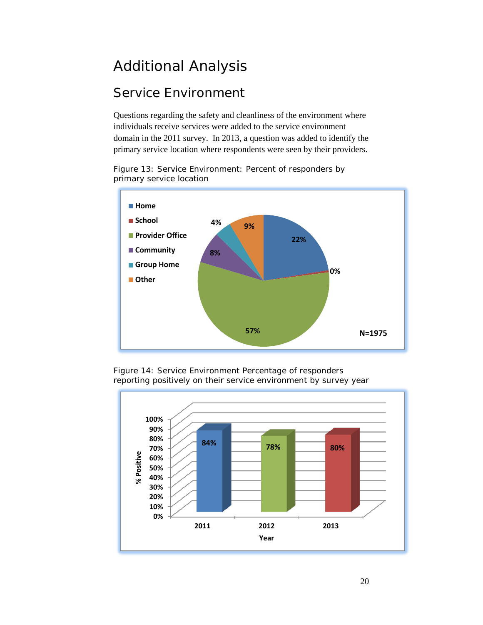### <span id="page-19-0"></span>Additional Analysis

#### <span id="page-19-1"></span>Service Environment

Questions regarding the safety and cleanliness of the environment where individuals receive services were added to the service environment domain in the 2011 survey. In 2013, a question was added to identify the primary service location where respondents were seen by their providers.

Figure 13: Service Environment: Percent of responders by primary service location



Figure 14: Service Environment Percentage of responders reporting positively on their service environment by survey year

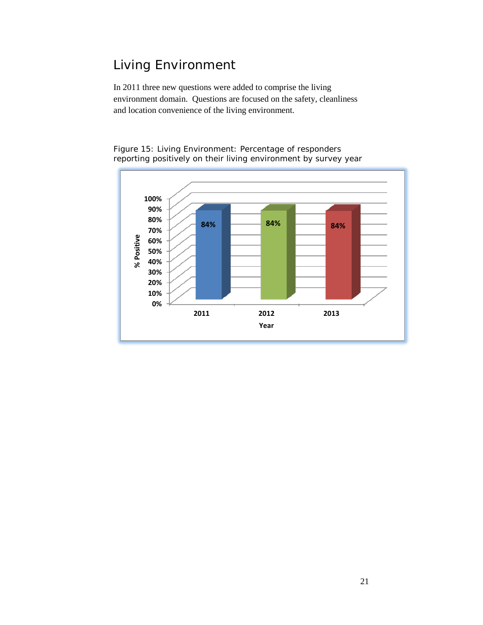#### <span id="page-20-0"></span>Living Environment

In 2011 three new questions were added to comprise the living environment domain. Questions are focused on the safety, cleanliness and location convenience of the living environment.



Figure 15: Living Environment: Percentage of responders reporting positively on their living environment by survey year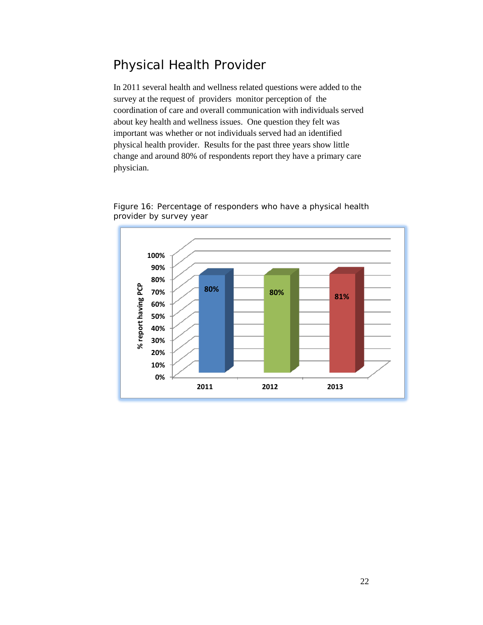#### <span id="page-21-0"></span>Physical Health Provider

In 2011 several health and wellness related questions were added to the survey at the request of providers monitor perception of the coordination of care and overall communication with individuals served about key health and wellness issues. One question they felt was important was whether or not individuals served had an identified physical health provider. Results for the past three years show little change and around 80% of respondents report they have a primary care physician.



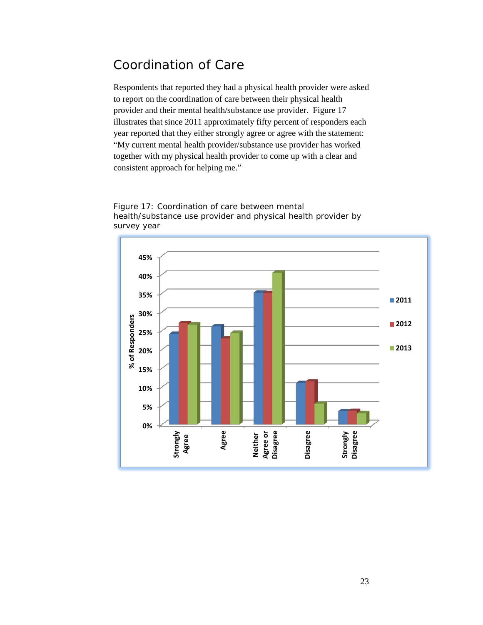#### <span id="page-22-0"></span>Coordination of Care

Respondents that reported they had a physical health provider were asked to report on the coordination of care between their physical health provider and their mental health/substance use provider. Figure 17 illustrates that since 2011 approximately fifty percent of responders each year reported that they either strongly agree or agree with the statement: "My current mental health provider/substance use provider has worked together with my physical health provider to come up with a clear and consistent approach for helping me."



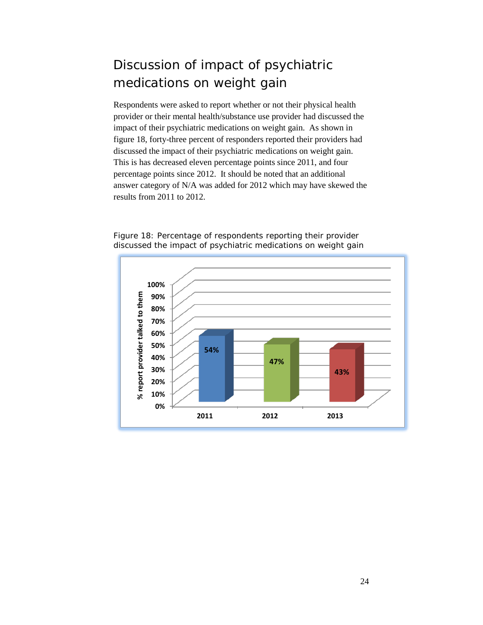### <span id="page-23-0"></span>Discussion of impact of psychiatric medications on weight gain

Respondents were asked to report whether or not their physical health provider or their mental health/substance use provider had discussed the impact of their psychiatric medications on weight gain. As shown in figure 18, forty-three percent of responders reported their providers had discussed the impact of their psychiatric medications on weight gain. This is has decreased eleven percentage points since 2011, and four percentage points since 2012. It should be noted that an additional answer category of N/A was added for 2012 which may have skewed the results from 2011 to 2012.



Figure 18: Percentage of respondents reporting their provider discussed the impact of psychiatric medications on weight gain